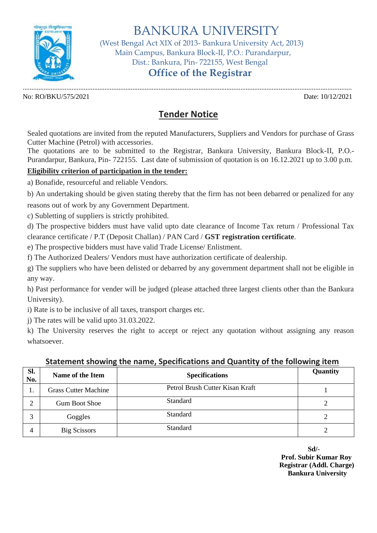

BANKURA UNIVERSITY

 (West Bengal Act XIX of 2013- Bankura University Act, 2013) Main Campus, Bankura Block-II, P.O.: Purandarpur, Dist.: Bankura, Pin- 722155, West Bengal

# **Office of the Registrar**

No: RO/BKU/575/2021 Date: 10/12/2021

.............................................................................................................................................................................................

## **Tender Notice**

Sealed quotations are invited from the reputed Manufacturers, Suppliers and Vendors for purchase of Grass Cutter Machine (Petrol) with accessories.

The quotations are to be submitted to the Registrar, Bankura University, Bankura Block-II, P.O.- Purandarpur, Bankura, Pin- 722155. Last date of submission of quotation is on 16.12.2021 up to 3.00 p.m.

### **Eligibility criterion of participation in the tender:**

a) Bonafide, resourceful and reliable Vendors.

b) An undertaking should be given stating thereby that the firm has not been debarred or penalized for any reasons out of work by any Government Department.

c) Subletting of suppliers is strictly prohibited.

d) The prospective bidders must have valid upto date clearance of Income Tax return / Professional Tax clearance certificate / P.T (Deposit Challan) / PAN Card / **GST registration certificate**.

e) The prospective bidders must have valid Trade License/ Enlistment.

f) The Authorized Dealers/ Vendors must have authorization certificate of dealership.

g) The suppliers who have been delisted or debarred by any government department shall not be eligible in any way.

h) Past performance for vender will be judged (please attached three largest clients other than the Bankura University).

i) Rate is to be inclusive of all taxes, transport charges etc.

j) The rates will be valid upto 31.03.2022.

k) The University reserves the right to accept or reject any quotation without assigning any reason whatsoever.

| $\sim$ . The contract of the contract of the contract of the second state $\sim$ . The contracting contract of $\sim$ |                             |                                 |          |
|-----------------------------------------------------------------------------------------------------------------------|-----------------------------|---------------------------------|----------|
| Sl.<br>No.                                                                                                            | Name of the Item            | <b>Specifications</b>           | Quantity |
| .,                                                                                                                    | <b>Grass Cutter Machine</b> | Petrol Brush Cutter Kisan Kraft |          |
| ↑                                                                                                                     | <b>Gum Boot Shoe</b>        | Standard                        |          |
| 3                                                                                                                     | Goggles                     | Standard                        |          |
| 4                                                                                                                     | <b>Big Scissors</b>         | Standard                        |          |

### **Statement showing the name, Specifications and Quantity of the following item**

**Sd/- Prof. Subir Kumar Roy Registrar (Addl. Charge) Bankura University**